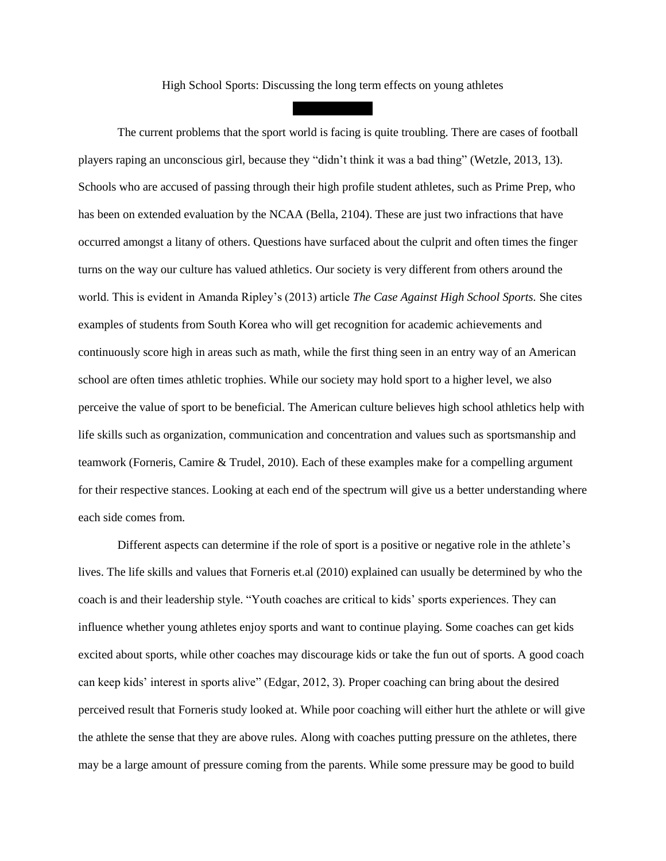High School Sports: Discussing the long term effects on young athletes

The current problems that the sport world is facing is quite troubling. There are cases of football players raping an unconscious girl, because they "didn't think it was a bad thing" (Wetzle, 2013, 13). Schools who are accused of passing through their high profile student athletes, such as Prime Prep, who has been on extended evaluation by the NCAA (Bella, 2104). These are just two infractions that have occurred amongst a litany of others. Questions have surfaced about the culprit and often times the finger turns on the way our culture has valued athletics. Our society is very different from others around the world. This is evident in Amanda Ripley's (2013) article *The Case Against High School Sports.* She cites examples of students from South Korea who will get recognition for academic achievements and continuously score high in areas such as math, while the first thing seen in an entry way of an American school are often times athletic trophies. While our society may hold sport to a higher level, we also perceive the value of sport to be beneficial. The American culture believes high school athletics help with life skills such as organization, communication and concentration and values such as sportsmanship and teamwork (Forneris, Camire & Trudel, 2010). Each of these examples make for a compelling argument for their respective stances. Looking at each end of the spectrum will give us a better understanding where each side comes from.

Different aspects can determine if the role of sport is a positive or negative role in the athlete's lives. The life skills and values that Forneris et.al (2010) explained can usually be determined by who the coach is and their leadership style. "Youth coaches are critical to kids' sports experiences. They can influence whether young athletes enjoy sports and want to continue playing. Some coaches can get kids excited about sports, while other coaches may discourage kids or take the fun out of sports. A good coach can keep kids' interest in sports alive" (Edgar, 2012, 3). Proper coaching can bring about the desired perceived result that Forneris study looked at. While poor coaching will either hurt the athlete or will give the athlete the sense that they are above rules. Along with coaches putting pressure on the athletes, there may be a large amount of pressure coming from the parents. While some pressure may be good to build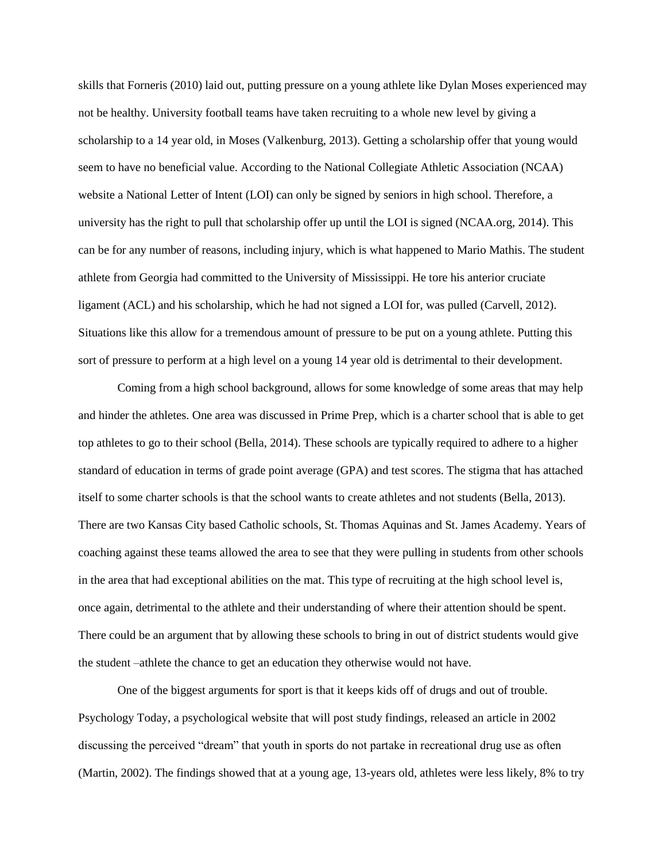skills that Forneris (2010) laid out, putting pressure on a young athlete like Dylan Moses experienced may not be healthy. University football teams have taken recruiting to a whole new level by giving a scholarship to a 14 year old, in Moses (Valkenburg, 2013). Getting a scholarship offer that young would seem to have no beneficial value. According to the National Collegiate Athletic Association (NCAA) website a National Letter of Intent (LOI) can only be signed by seniors in high school. Therefore, a university has the right to pull that scholarship offer up until the LOI is signed (NCAA.org, 2014). This can be for any number of reasons, including injury, which is what happened to Mario Mathis. The student athlete from Georgia had committed to the University of Mississippi. He tore his anterior cruciate ligament (ACL) and his scholarship, which he had not signed a LOI for, was pulled (Carvell, 2012). Situations like this allow for a tremendous amount of pressure to be put on a young athlete. Putting this sort of pressure to perform at a high level on a young 14 year old is detrimental to their development.

Coming from a high school background, allows for some knowledge of some areas that may help and hinder the athletes. One area was discussed in Prime Prep, which is a charter school that is able to get top athletes to go to their school (Bella, 2014). These schools are typically required to adhere to a higher standard of education in terms of grade point average (GPA) and test scores. The stigma that has attached itself to some charter schools is that the school wants to create athletes and not students (Bella, 2013). There are two Kansas City based Catholic schools, St. Thomas Aquinas and St. James Academy. Years of coaching against these teams allowed the area to see that they were pulling in students from other schools in the area that had exceptional abilities on the mat. This type of recruiting at the high school level is, once again, detrimental to the athlete and their understanding of where their attention should be spent. There could be an argument that by allowing these schools to bring in out of district students would give the student –athlete the chance to get an education they otherwise would not have.

One of the biggest arguments for sport is that it keeps kids off of drugs and out of trouble. Psychology Today, a psychological website that will post study findings, released an article in 2002 discussing the perceived "dream" that youth in sports do not partake in recreational drug use as often (Martin, 2002). The findings showed that at a young age, 13-years old, athletes were less likely, 8% to try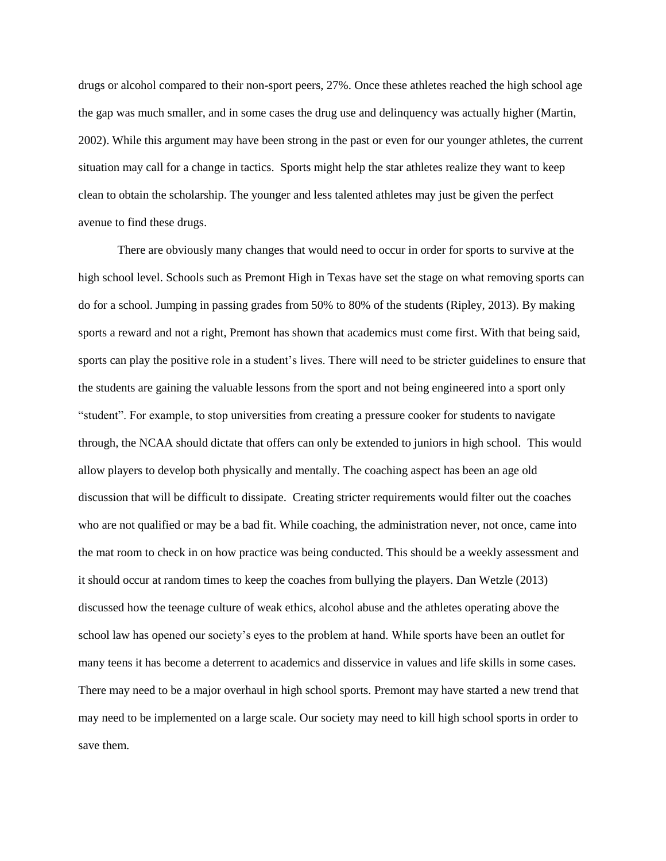drugs or alcohol compared to their non-sport peers, 27%. Once these athletes reached the high school age the gap was much smaller, and in some cases the drug use and delinquency was actually higher (Martin, 2002). While this argument may have been strong in the past or even for our younger athletes, the current situation may call for a change in tactics. Sports might help the star athletes realize they want to keep clean to obtain the scholarship. The younger and less talented athletes may just be given the perfect avenue to find these drugs.

There are obviously many changes that would need to occur in order for sports to survive at the high school level. Schools such as Premont High in Texas have set the stage on what removing sports can do for a school. Jumping in passing grades from 50% to 80% of the students (Ripley, 2013). By making sports a reward and not a right, Premont has shown that academics must come first. With that being said, sports can play the positive role in a student's lives. There will need to be stricter guidelines to ensure that the students are gaining the valuable lessons from the sport and not being engineered into a sport only "student". For example, to stop universities from creating a pressure cooker for students to navigate through, the NCAA should dictate that offers can only be extended to juniors in high school. This would allow players to develop both physically and mentally. The coaching aspect has been an age old discussion that will be difficult to dissipate. Creating stricter requirements would filter out the coaches who are not qualified or may be a bad fit. While coaching, the administration never, not once, came into the mat room to check in on how practice was being conducted. This should be a weekly assessment and it should occur at random times to keep the coaches from bullying the players. Dan Wetzle (2013) discussed how the teenage culture of weak ethics, alcohol abuse and the athletes operating above the school law has opened our society's eyes to the problem at hand. While sports have been an outlet for many teens it has become a deterrent to academics and disservice in values and life skills in some cases. There may need to be a major overhaul in high school sports. Premont may have started a new trend that may need to be implemented on a large scale. Our society may need to kill high school sports in order to save them.